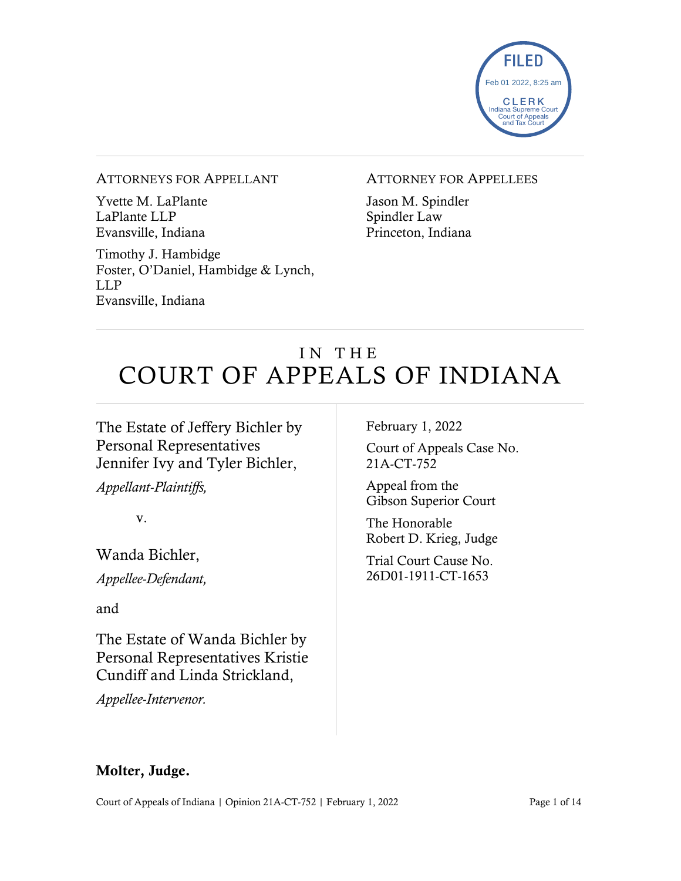

#### ATTORNEYS FOR APPELLANT

Yvette M. LaPlante LaPlante LLP Evansville, Indiana

Timothy J. Hambidge Foster, O'Daniel, Hambidge & Lynch, LLP Evansville, Indiana

#### ATTORNEY FOR APPELLEES

Jason M. Spindler Spindler Law Princeton, Indiana

# IN THE COURT OF APPEALS OF INDIANA

# The Estate of Jeffery Bichler by Personal Representatives Jennifer Ivy and Tyler Bichler,

*Appellant-Plaintiffs,*

v.

Wanda Bichler,

*Appellee-Defendant,*

and

The Estate of Wanda Bichler by Personal Representatives Kristie Cundiff and Linda Strickland,

*Appellee-Intervenor.*

February 1, 2022

Court of Appeals Case No. 21A-CT-752

Appeal from the Gibson Superior Court

The Honorable Robert D. Krieg, Judge

Trial Court Cause No. 26D01-1911-CT-1653

# Molter, Judge.

Court of Appeals of Indiana | Opinion 21A-CT-752 | February 1, 2022 Page 1 of 14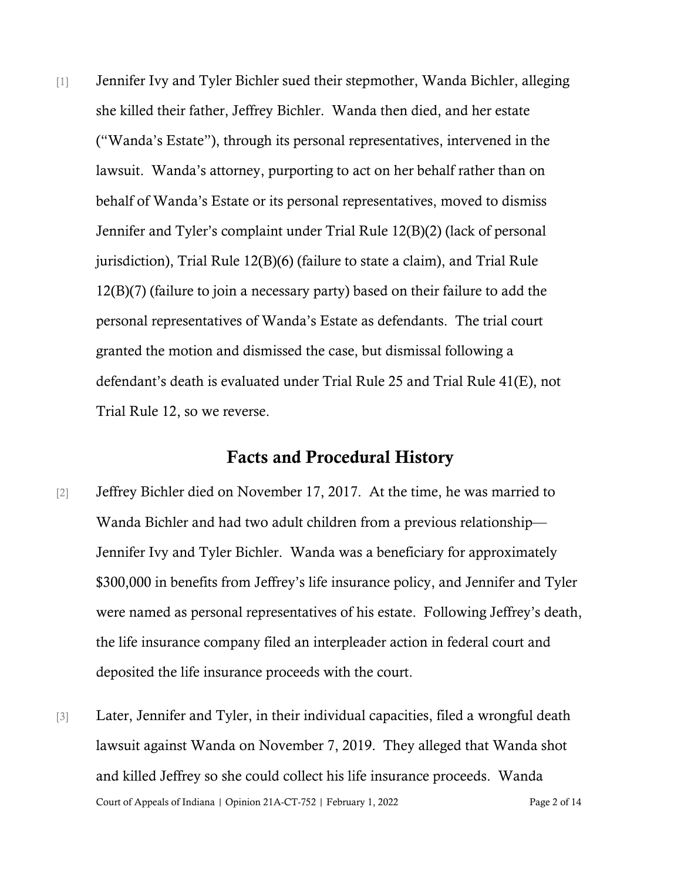[1] Jennifer Ivy and Tyler Bichler sued their stepmother, Wanda Bichler, alleging she killed their father, Jeffrey Bichler. Wanda then died, and her estate ("Wanda's Estate"), through its personal representatives, intervened in the lawsuit. Wanda's attorney, purporting to act on her behalf rather than on behalf of Wanda's Estate or its personal representatives, moved to dismiss Jennifer and Tyler's complaint under Trial Rule 12(B)(2) (lack of personal jurisdiction), Trial Rule 12(B)(6) (failure to state a claim), and Trial Rule 12(B)(7) (failure to join a necessary party) based on their failure to add the personal representatives of Wanda's Estate as defendants. The trial court granted the motion and dismissed the case, but dismissal following a defendant's death is evaluated under Trial Rule 25 and Trial Rule 41(E), not Trial Rule 12, so we reverse.

## Facts and Procedural History

- [2] Jeffrey Bichler died on November 17, 2017. At the time, he was married to Wanda Bichler and had two adult children from a previous relationship— Jennifer Ivy and Tyler Bichler. Wanda was a beneficiary for approximately \$300,000 in benefits from Jeffrey's life insurance policy, and Jennifer and Tyler were named as personal representatives of his estate. Following Jeffrey's death, the life insurance company filed an interpleader action in federal court and deposited the life insurance proceeds with the court.
- Court of Appeals of Indiana | Opinion 21A-CT-752 | February 1, 2022 Page 2 of 14 [3] Later, Jennifer and Tyler, in their individual capacities, filed a wrongful death lawsuit against Wanda on November 7, 2019. They alleged that Wanda shot and killed Jeffrey so she could collect his life insurance proceeds. Wanda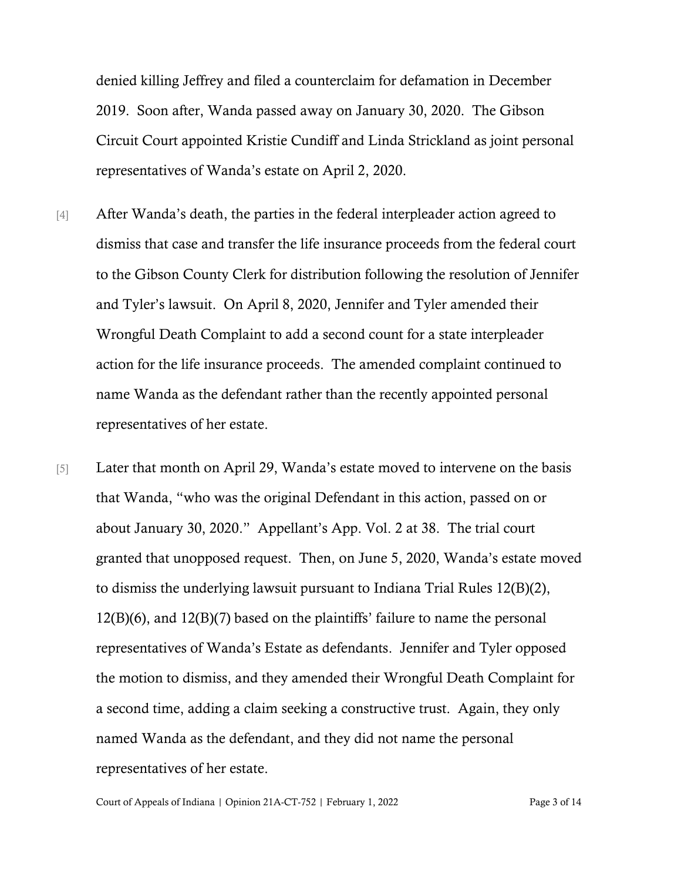denied killing Jeffrey and filed a counterclaim for defamation in December 2019. Soon after, Wanda passed away on January 30, 2020. The Gibson Circuit Court appointed Kristie Cundiff and Linda Strickland as joint personal representatives of Wanda's estate on April 2, 2020.

- [4] After Wanda's death, the parties in the federal interpleader action agreed to dismiss that case and transfer the life insurance proceeds from the federal court to the Gibson County Clerk for distribution following the resolution of Jennifer and Tyler's lawsuit. On April 8, 2020, Jennifer and Tyler amended their Wrongful Death Complaint to add a second count for a state interpleader action for the life insurance proceeds. The amended complaint continued to name Wanda as the defendant rather than the recently appointed personal representatives of her estate.
- [5] Later that month on April 29, Wanda's estate moved to intervene on the basis that Wanda, "who was the original Defendant in this action, passed on or about January 30, 2020." Appellant's App. Vol. 2 at 38. The trial court granted that unopposed request. Then, on June 5, 2020, Wanda's estate moved to dismiss the underlying lawsuit pursuant to Indiana Trial Rules 12(B)(2), 12(B)(6), and 12(B)(7) based on the plaintiffs' failure to name the personal representatives of Wanda's Estate as defendants. Jennifer and Tyler opposed the motion to dismiss, and they amended their Wrongful Death Complaint for a second time, adding a claim seeking a constructive trust. Again, they only named Wanda as the defendant, and they did not name the personal representatives of her estate.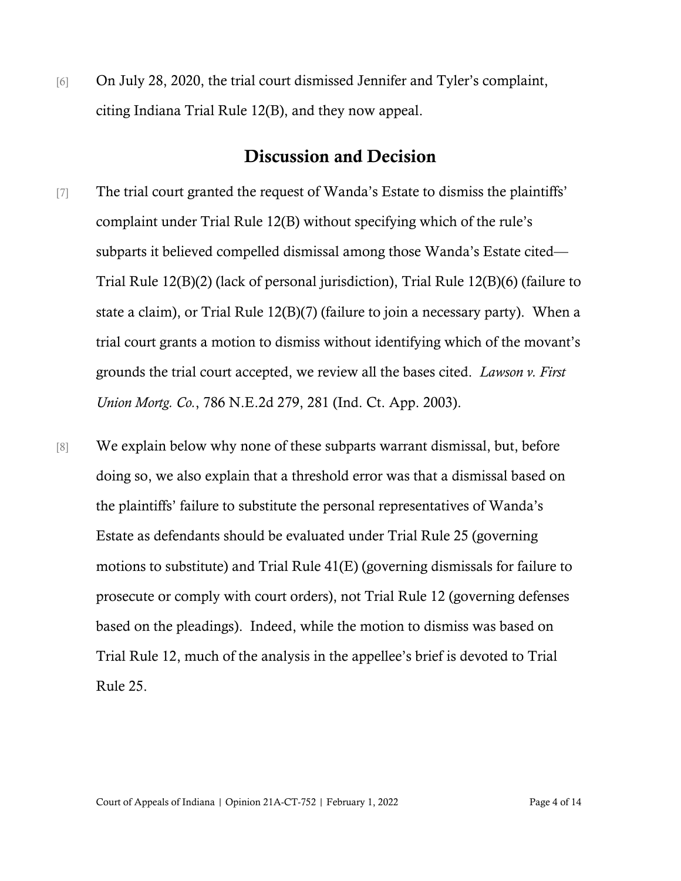[6] On July 28, 2020, the trial court dismissed Jennifer and Tyler's complaint, citing Indiana Trial Rule 12(B), and they now appeal.

# Discussion and Decision

- [7] The trial court granted the request of Wanda's Estate to dismiss the plaintiffs' complaint under Trial Rule 12(B) without specifying which of the rule's subparts it believed compelled dismissal among those Wanda's Estate cited— Trial Rule 12(B)(2) (lack of personal jurisdiction), Trial Rule 12(B)(6) (failure to state a claim), or Trial Rule 12(B)(7) (failure to join a necessary party). When a trial court grants a motion to dismiss without identifying which of the movant's grounds the trial court accepted, we review all the bases cited. *Lawson v. First Union Mortg. Co.*, 786 N.E.2d 279, 281 (Ind. Ct. App. 2003).
- [8] We explain below why none of these subparts warrant dismissal, but, before doing so, we also explain that a threshold error was that a dismissal based on the plaintiffs' failure to substitute the personal representatives of Wanda's Estate as defendants should be evaluated under Trial Rule 25 (governing motions to substitute) and Trial Rule 41(E) (governing dismissals for failure to prosecute or comply with court orders), not Trial Rule 12 (governing defenses based on the pleadings). Indeed, while the motion to dismiss was based on Trial Rule 12, much of the analysis in the appellee's brief is devoted to Trial Rule 25.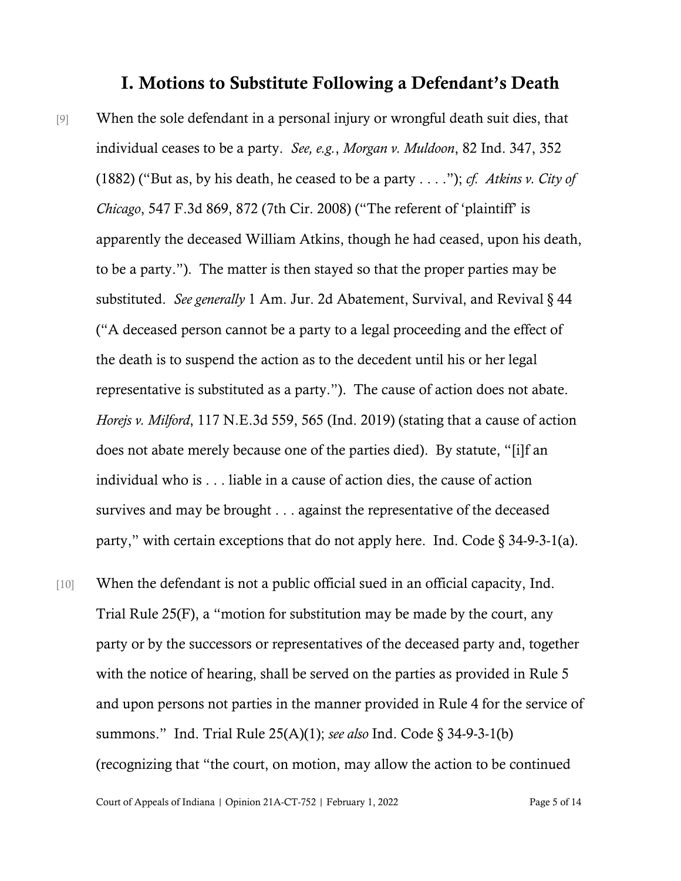### I. Motions to Substitute Following a Defendant's Death

- [9] When the sole defendant in a personal injury or wrongful death suit dies, that individual ceases to be a party. *See, e.g.*, *Morgan v. Muldoon*, 82 Ind. 347, 352 (1882) ("But as, by his death, he ceased to be a party . . . ."); *cf. Atkins v. City of Chicago*, 547 F.3d 869, 872 (7th Cir. 2008) ("The referent of 'plaintiff' is apparently the deceased William Atkins, though he had ceased, upon his death, to be a party."). The matter is then stayed so that the proper parties may be substituted. *See generally* 1 Am. Jur. 2d Abatement, Survival, and Revival § 44 ("A deceased person cannot be a party to a legal proceeding and the effect of the death is to suspend the action as to the decedent until his or her legal representative is substituted as a party."). The cause of action does not abate. *Horejs v. Milford*, 117 N.E.3d 559, 565 (Ind. 2019) (stating that a cause of action does not abate merely because one of the parties died). By statute, "[i]f an individual who is . . . liable in a cause of action dies, the cause of action survives and may be brought . . . against the representative of the deceased party," with certain exceptions that do not apply here. Ind. Code  $\S$  34-9-3-1(a).
- [10] When the defendant is not a public official sued in an official capacity, Ind. Trial Rule 25(F), a "motion for substitution may be made by the court, any party or by the successors or representatives of the deceased party and, together with the notice of hearing, shall be served on the parties as provided in Rule 5 and upon persons not parties in the manner provided in Rule 4 for the service of summons." Ind. Trial Rule 25(A)(1); *see also* Ind. Code § 34-9-3-1(b) (recognizing that "the court, on motion, may allow the action to be continued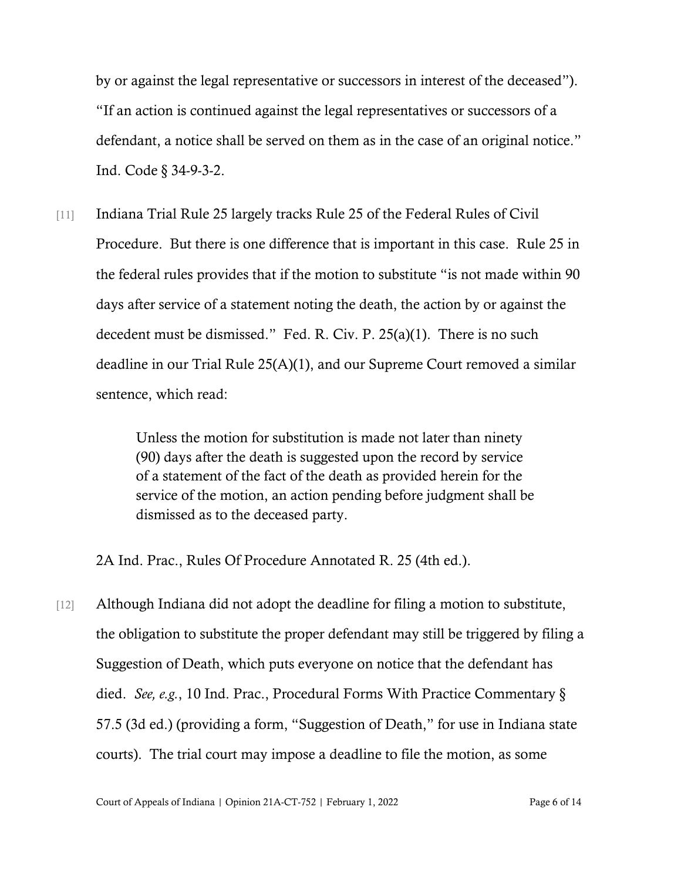by or against the legal representative or successors in interest of the deceased"). "If an action is continued against the legal representatives or successors of a defendant, a notice shall be served on them as in the case of an original notice." Ind. Code § 34-9-3-2.

[11] Indiana Trial Rule 25 largely tracks Rule 25 of the Federal Rules of Civil Procedure. But there is one difference that is important in this case. Rule 25 in the federal rules provides that if the motion to substitute "is not made within 90 days after service of a statement noting the death, the action by or against the decedent must be dismissed." Fed. R. Civ. P. 25(a)(1). There is no such deadline in our Trial Rule 25(A)(1), and our Supreme Court removed a similar sentence, which read:

> Unless the motion for substitution is made not later than ninety (90) days after the death is suggested upon the record by service of a statement of the fact of the death as provided herein for the service of the motion, an action pending before judgment shall be dismissed as to the deceased party.

2A Ind. Prac., Rules Of Procedure Annotated R. 25 (4th ed.).

[12] Although Indiana did not adopt the deadline for filing a motion to substitute, the obligation to substitute the proper defendant may still be triggered by filing a Suggestion of Death, which puts everyone on notice that the defendant has died. *See, e.g.*, 10 Ind. Prac., Procedural Forms With Practice Commentary § 57.5 (3d ed.) (providing a form, "Suggestion of Death," for use in Indiana state courts). The trial court may impose a deadline to file the motion, as some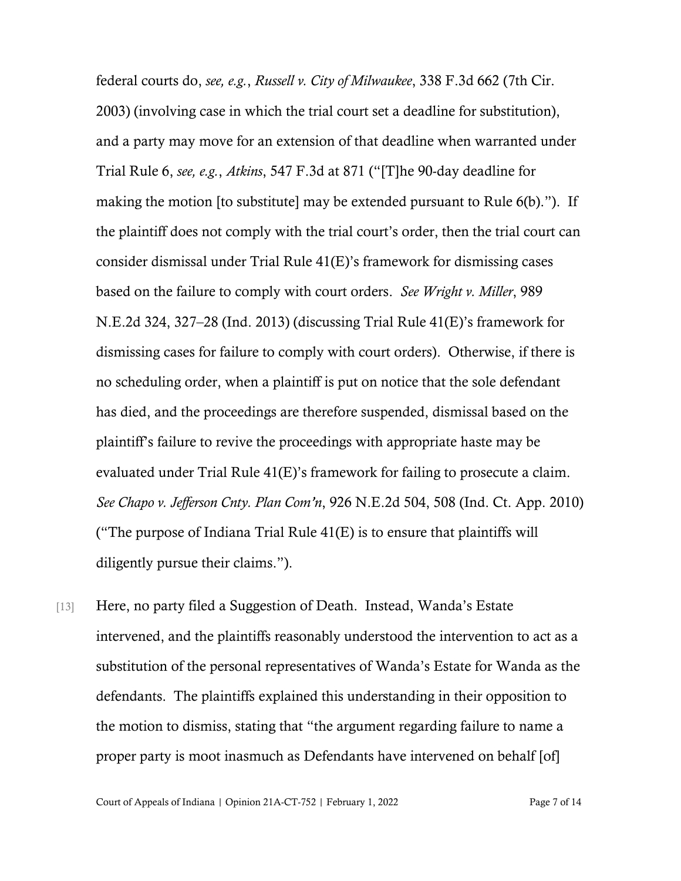federal courts do, *see, e.g.*, *Russell v. City of Milwaukee*, 338 F.3d 662 (7th Cir. 2003) (involving case in which the trial court set a deadline for substitution), and a party may move for an extension of that deadline when warranted under Trial Rule 6, *see, e.g.*, *Atkins*, 547 F.3d at 871 ("[T]he 90-day deadline for making the motion [to substitute] may be extended pursuant to Rule 6(b)."). If the plaintiff does not comply with the trial court's order, then the trial court can consider dismissal under Trial Rule 41(E)'s framework for dismissing cases based on the failure to comply with court orders. *See Wright v. Miller*, 989 N.E.2d 324, 327–28 (Ind. 2013) (discussing Trial Rule 41(E)'s framework for dismissing cases for failure to comply with court orders). Otherwise, if there is no scheduling order, when a plaintiff is put on notice that the sole defendant has died, and the proceedings are therefore suspended, dismissal based on the plaintiff's failure to revive the proceedings with appropriate haste may be evaluated under Trial Rule 41(E)'s framework for failing to prosecute a claim. *See Chapo v. Jefferson Cnty. Plan Com'n*, 926 N.E.2d 504, 508 (Ind. Ct. App. 2010) ("The purpose of Indiana Trial Rule 41(E) is to ensure that plaintiffs will diligently pursue their claims.").

[13] Here, no party filed a Suggestion of Death. Instead, Wanda's Estate intervened, and the plaintiffs reasonably understood the intervention to act as a substitution of the personal representatives of Wanda's Estate for Wanda as the defendants. The plaintiffs explained this understanding in their opposition to the motion to dismiss, stating that "the argument regarding failure to name a proper party is moot inasmuch as Defendants have intervened on behalf [of]

Court of Appeals of Indiana | Opinion 21A-CT-752 | February 1, 2022 Page 7 of 14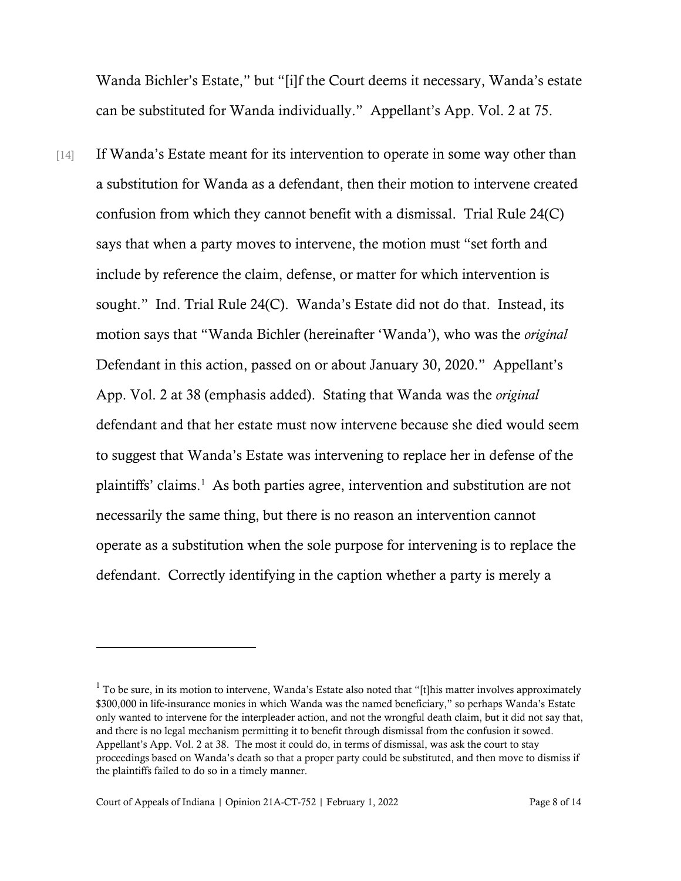Wanda Bichler's Estate," but "[i]f the Court deems it necessary, Wanda's estate can be substituted for Wanda individually." Appellant's App. Vol. 2 at 75.

[14] If Wanda's Estate meant for its intervention to operate in some way other than a substitution for Wanda as a defendant, then their motion to intervene created confusion from which they cannot benefit with a dismissal. Trial Rule 24(C) says that when a party moves to intervene, the motion must "set forth and include by reference the claim, defense, or matter for which intervention is sought." Ind. Trial Rule 24(C). Wanda's Estate did not do that. Instead, its motion says that "Wanda Bichler (hereinafter 'Wanda'), who was the *original* Defendant in this action, passed on or about January 30, 2020." Appellant's App. Vol. 2 at 38 (emphasis added). Stating that Wanda was the *original* defendant and that her estate must now intervene because she died would seem to suggest that Wanda's Estate was intervening to replace her in defense of the plaintiffs' claims.<sup>[1](#page-7-0)</sup> As both parties agree, intervention and substitution are not necessarily the same thing, but there is no reason an intervention cannot operate as a substitution when the sole purpose for intervening is to replace the defendant. Correctly identifying in the caption whether a party is merely a

<span id="page-7-0"></span> $1$  To be sure, in its motion to intervene, Wanda's Estate also noted that "[t]his matter involves approximately \$300,000 in life-insurance monies in which Wanda was the named beneficiary," so perhaps Wanda's Estate only wanted to intervene for the interpleader action, and not the wrongful death claim, but it did not say that, and there is no legal mechanism permitting it to benefit through dismissal from the confusion it sowed. Appellant's App. Vol. 2 at 38. The most it could do, in terms of dismissal, was ask the court to stay proceedings based on Wanda's death so that a proper party could be substituted, and then move to dismiss if the plaintiffs failed to do so in a timely manner.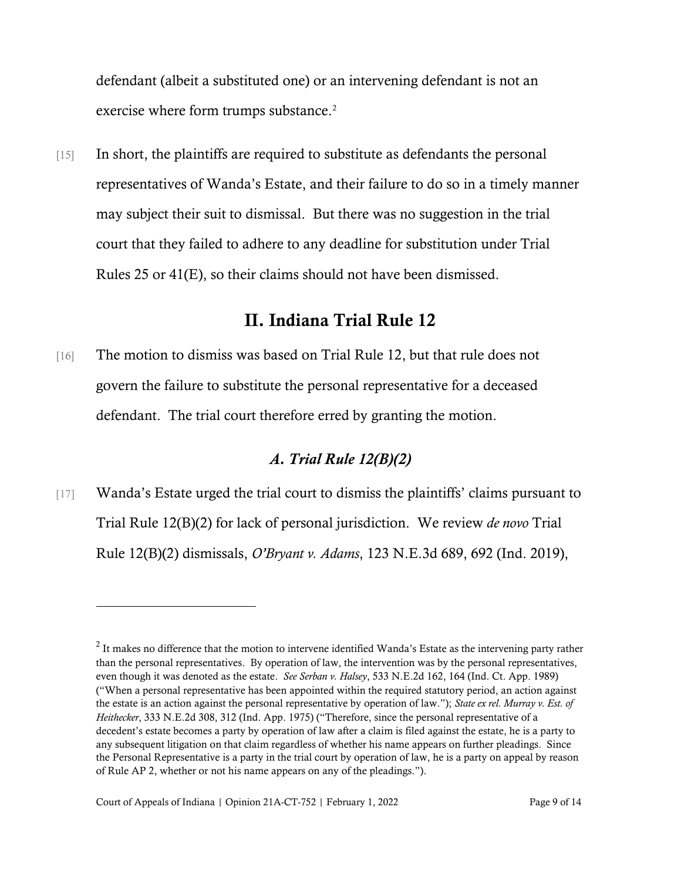defendant (albeit a substituted one) or an intervening defendant is not an exercise where form trumps substance.<sup>[2](#page-8-0)</sup>

[15] In short, the plaintiffs are required to substitute as defendants the personal representatives of Wanda's Estate, and their failure to do so in a timely manner may subject their suit to dismissal. But there was no suggestion in the trial court that they failed to adhere to any deadline for substitution under Trial Rules 25 or 41(E), so their claims should not have been dismissed.

# II. Indiana Trial Rule 12

[16] The motion to dismiss was based on Trial Rule 12, but that rule does not govern the failure to substitute the personal representative for a deceased defendant. The trial court therefore erred by granting the motion.

## *A. Trial Rule 12(B)(2)*

[17] Wanda's Estate urged the trial court to dismiss the plaintiffs' claims pursuant to Trial Rule 12(B)(2) for lack of personal jurisdiction. We review *de novo* Trial Rule 12(B)(2) dismissals, *O'Bryant v. Adams*, 123 N.E.3d 689, 692 (Ind. 2019),

<span id="page-8-0"></span> $2$  It makes no difference that the motion to intervene identified Wanda's Estate as the intervening party rather than the personal representatives. By operation of law, the intervention was by the personal representatives, even though it was denoted as the estate. *See Serban v. Halsey*, 533 N.E.2d 162, 164 (Ind. Ct. App. 1989) ("When a personal representative has been appointed within the required statutory period, an action against the estate is an action against the personal representative by operation of law."); *State ex rel. Murray v. Est. of Heithecker*, 333 N.E.2d 308, 312 (Ind. App. 1975) ("Therefore, since the personal representative of a decedent's estate becomes a party by operation of law after a claim is filed against the estate, he is a party to any subsequent litigation on that claim regardless of whether his name appears on further pleadings. Since the Personal Representative is a party in the trial court by operation of law, he is a party on appeal by reason of Rule AP 2, whether or not his name appears on any of the pleadings.").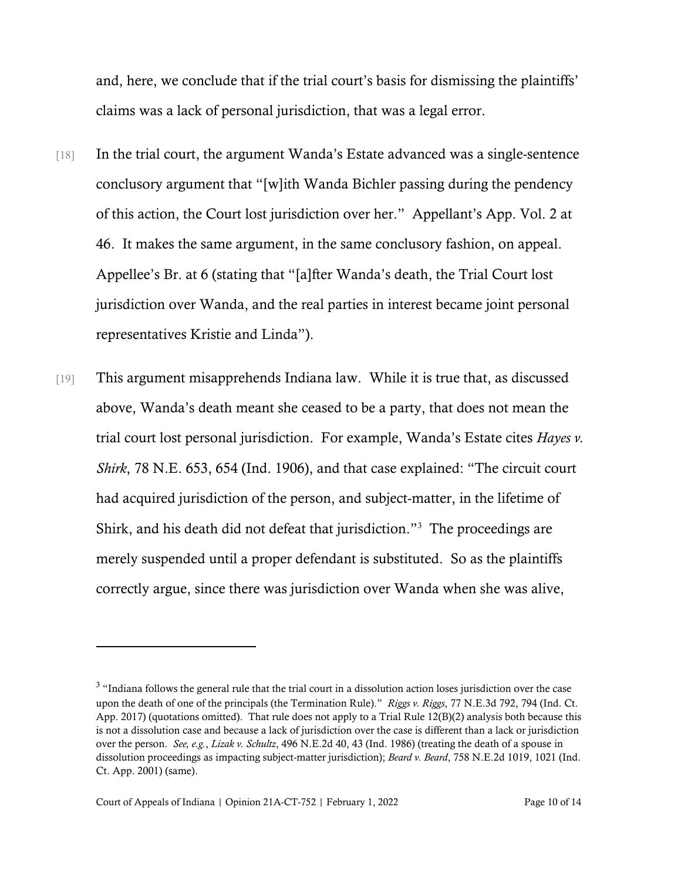and, here, we conclude that if the trial court's basis for dismissing the plaintiffs' claims was a lack of personal jurisdiction, that was a legal error.

- [18] In the trial court, the argument Wanda's Estate advanced was a single-sentence conclusory argument that "[w]ith Wanda Bichler passing during the pendency of this action, the Court lost jurisdiction over her." Appellant's App. Vol. 2 at 46. It makes the same argument, in the same conclusory fashion, on appeal. Appellee's Br. at 6 (stating that "[a]fter Wanda's death, the Trial Court lost jurisdiction over Wanda, and the real parties in interest became joint personal representatives Kristie and Linda").
- [19] This argument misapprehends Indiana law. While it is true that, as discussed above, Wanda's death meant she ceased to be a party, that does not mean the trial court lost personal jurisdiction. For example, Wanda's Estate cites *Hayes v. Shirk*, 78 N.E. 653, 654 (Ind. 1906), and that case explained: "The circuit court had acquired jurisdiction of the person, and subject-matter, in the lifetime of Shirk, and his death did not defeat that jurisdiction."[3](#page-9-0) The proceedings are merely suspended until a proper defendant is substituted. So as the plaintiffs correctly argue, since there was jurisdiction over Wanda when she was alive,

<span id="page-9-0"></span><sup>&</sup>lt;sup>3</sup> "Indiana follows the general rule that the trial court in a dissolution action loses jurisdiction over the case upon the death of one of the principals (the Termination Rule)." *Riggs v. Riggs*, 77 N.E.3d 792, 794 (Ind. Ct. App. 2017) (quotations omitted). That rule does not apply to a Trial Rule 12(B)(2) analysis both because this is not a dissolution case and because a lack of jurisdiction over the case is different than a lack or jurisdiction over the person. *See, e.g.*, *Lizak v. Schultz*, 496 N.E.2d 40, 43 (Ind. 1986) (treating the death of a spouse in dissolution proceedings as impacting subject-matter jurisdiction); *Beard v. Beard*, 758 N.E.2d 1019, 1021 (Ind. Ct. App. 2001) (same).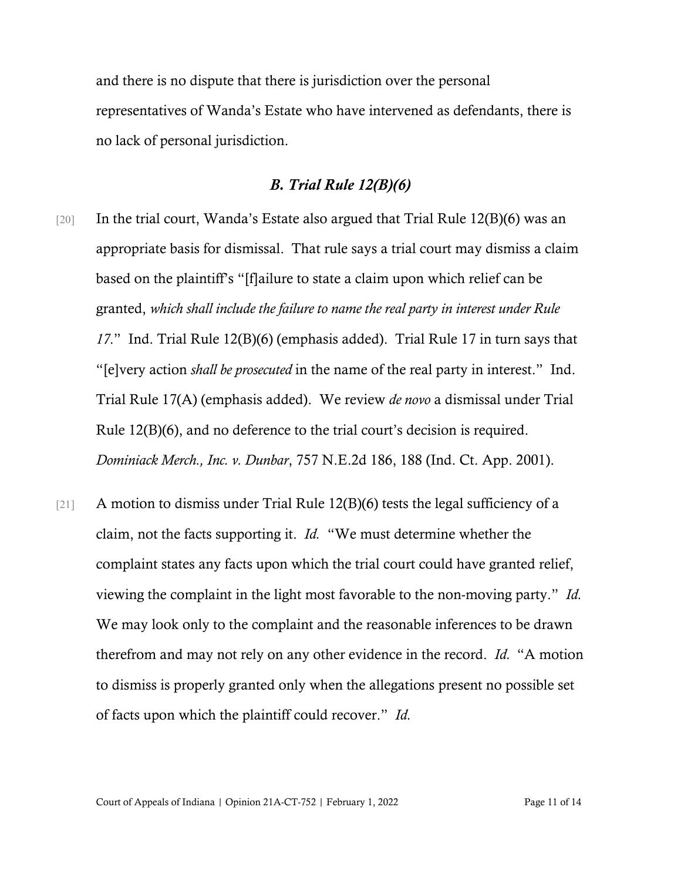and there is no dispute that there is jurisdiction over the personal representatives of Wanda's Estate who have intervened as defendants, there is no lack of personal jurisdiction.

#### *B. Trial Rule 12(B)(6)*

- [20] In the trial court, Wanda's Estate also argued that Trial Rule 12(B)(6) was an appropriate basis for dismissal. That rule says a trial court may dismiss a claim based on the plaintiff's "[f]ailure to state a claim upon which relief can be granted, *which shall include the failure to name the real party in interest under Rule 17*." Ind. Trial Rule 12(B)(6) (emphasis added). Trial Rule 17 in turn says that "[e]very action *shall be prosecuted* in the name of the real party in interest." Ind. Trial Rule 17(A) (emphasis added). We review *de novo* a dismissal under Trial Rule 12(B)(6), and no deference to the trial court's decision is required. *Dominiack Merch., Inc. v. Dunbar*, 757 N.E.2d 186, 188 (Ind. Ct. App. 2001).
- [21] A motion to dismiss under Trial Rule 12(B)(6) tests the legal sufficiency of a claim, not the facts supporting it. *Id.* "We must determine whether the complaint states any facts upon which the trial court could have granted relief, viewing the complaint in the light most favorable to the non-moving party." *Id.* We may look only to the complaint and the reasonable inferences to be drawn therefrom and may not rely on any other evidence in the record. *Id.* "A motion to dismiss is properly granted only when the allegations present no possible set of facts upon which the plaintiff could recover." *Id.*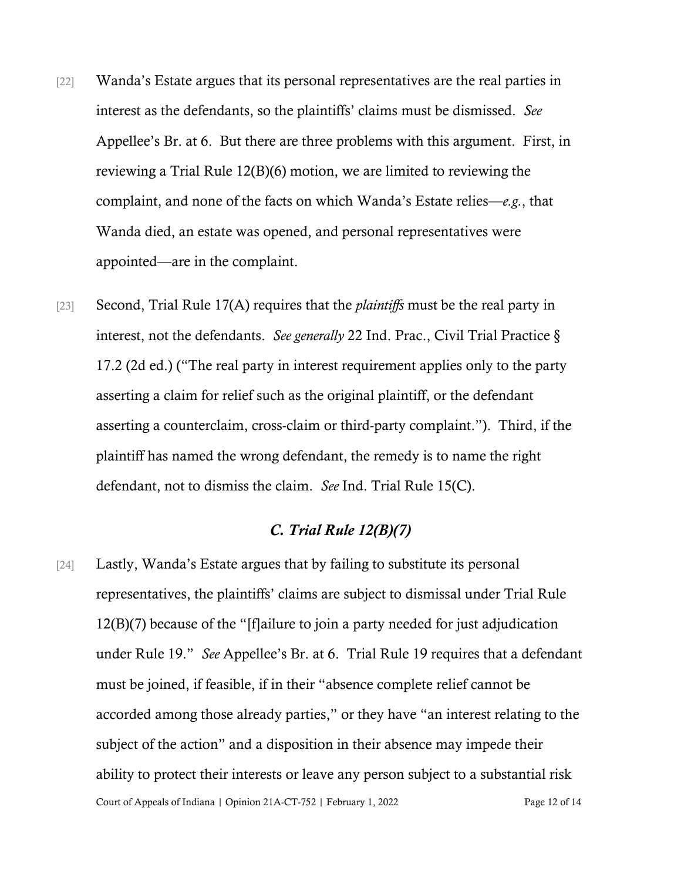- [22] Wanda's Estate argues that its personal representatives are the real parties in interest as the defendants, so the plaintiffs' claims must be dismissed. *See*  Appellee's Br. at 6. But there are three problems with this argument. First, in reviewing a Trial Rule 12(B)(6) motion, we are limited to reviewing the complaint, and none of the facts on which Wanda's Estate relies—*e.g.*, that Wanda died, an estate was opened, and personal representatives were appointed—are in the complaint.
- [23] Second, Trial Rule 17(A) requires that the *plaintiffs* must be the real party in interest, not the defendants. *See generally* 22 Ind. Prac., Civil Trial Practice § 17.2 (2d ed.) ("The real party in interest requirement applies only to the party asserting a claim for relief such as the original plaintiff, or the defendant asserting a counterclaim, cross-claim or third-party complaint."). Third, if the plaintiff has named the wrong defendant, the remedy is to name the right defendant, not to dismiss the claim. *See* Ind. Trial Rule 15(C).

#### *C. Trial Rule 12(B)(7)*

Court of Appeals of Indiana | Opinion 21A-CT-752 | February 1, 2022 Page 12 of 14 [24] Lastly, Wanda's Estate argues that by failing to substitute its personal representatives, the plaintiffs' claims are subject to dismissal under Trial Rule 12(B)(7) because of the "[f]ailure to join a party needed for just adjudication under Rule 19." *See* Appellee's Br. at 6. Trial Rule 19 requires that a defendant must be joined, if feasible, if in their "absence complete relief cannot be accorded among those already parties," or they have "an interest relating to the subject of the action" and a disposition in their absence may impede their ability to protect their interests or leave any person subject to a substantial risk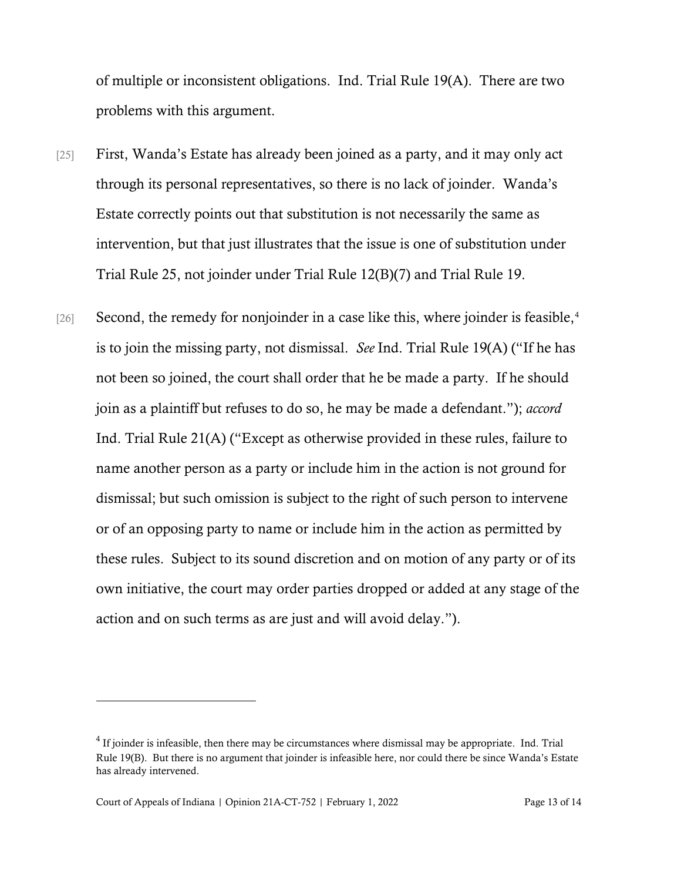of multiple or inconsistent obligations. Ind. Trial Rule 19(A). There are two problems with this argument.

- [25] First, Wanda's Estate has already been joined as a party, and it may only act through its personal representatives, so there is no lack of joinder. Wanda's Estate correctly points out that substitution is not necessarily the same as intervention, but that just illustrates that the issue is one of substitution under Trial Rule 25, not joinder under Trial Rule 12(B)(7) and Trial Rule 19.
- [26] Second, the remedy for nonjoinder in a case like this, where joinder is feasible, $4$ is to join the missing party, not dismissal. *See* Ind. Trial Rule 19(A) ("If he has not been so joined, the court shall order that he be made a party. If he should join as a plaintiff but refuses to do so, he may be made a defendant."); *accord*  Ind. Trial Rule 21(A) ("Except as otherwise provided in these rules, failure to name another person as a party or include him in the action is not ground for dismissal; but such omission is subject to the right of such person to intervene or of an opposing party to name or include him in the action as permitted by these rules. Subject to its sound discretion and on motion of any party or of its own initiative, the court may order parties dropped or added at any stage of the action and on such terms as are just and will avoid delay.").

<span id="page-12-0"></span> $4$  If joinder is infeasible, then there may be circumstances where dismissal may be appropriate. Ind. Trial Rule 19(B). But there is no argument that joinder is infeasible here, nor could there be since Wanda's Estate has already intervened.

Court of Appeals of Indiana | Opinion 21A-CT-752 | February 1, 2022 Page 13 of 14